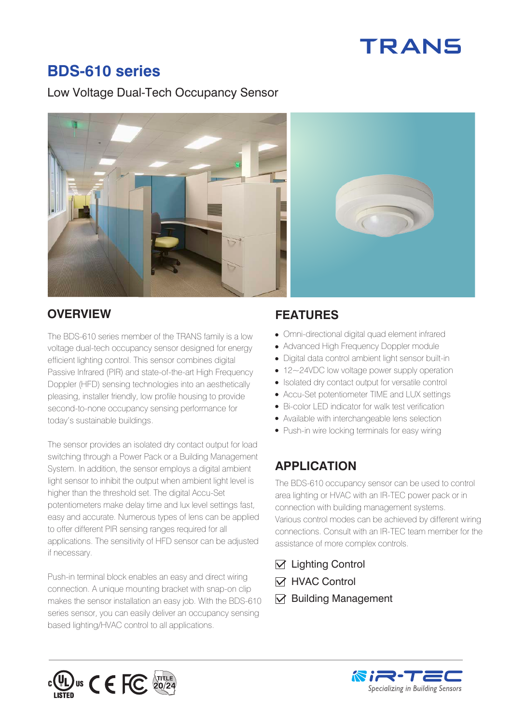# **TRANS**

## **BDS-610 series**

### Low Voltage Dual-Tech Occupancy Sensor



The BDS-610 series member of the TRANS family is a low voltage dual-tech occupancy sensor designed for energy efficient lighting control. This sensor combines digital Passive Infrared (PIR) and state-of-the-art High Frequency Doppler (HFD) sensing technologies into an aesthetically pleasing, installer friendly, low profile housing to provide second-to-none occupancy sensing performance for today's sustainable buildings.

The sensor provides an isolated dry contact output for load switching through a Power Pack or a Building Management System. In addition, the sensor employs a digital ambient light sensor to inhibit the output when ambient light level is higher than the threshold set. The digital Accu-Set potentiometers make delay time and lux level settings fast, easy and accurate. Numerous types of lens can be applied to offer different PIR sensing ranges required for all applications. The sensitivity of HFD sensor can be adjusted if necessary.

Push-in terminal block enables an easy and direct wiring connection. A unique mounting bracket with snap-on clip makes the sensor installation an easy job. With the BDS-610 series sensor, you can easily deliver an occupancy sensing based lighting/HVAC control to all applications.

## **OVERVIEW FEATURES**

- Omni-directional digital quad element infrared
- Advanced High Frequency Doppler module
- Digital data control ambient light sensor built-in
- 12~24VDC low voltage power supply operation
- Isolated dry contact output for versatile control
- Accu-Set potentiometer TIME and LUX settings
- Bi-color LED indicator for walk test verification
- Available with interchangeable lens selection
- Push-in wire locking terminals for easy wiring

## **APPLICATION**

The BDS-610 occupancy sensor can be used to control area lighting or HVAC with an IR-TEC power pack or in connection with building management systems. Various control modes can be achieved by different wiring connections. Consult with an IR-TEC team member for the assistance of more complex controls.

- $\triangledown$  Lighting Control
- **M** HVAC Control
- $\nabla$  Building Management